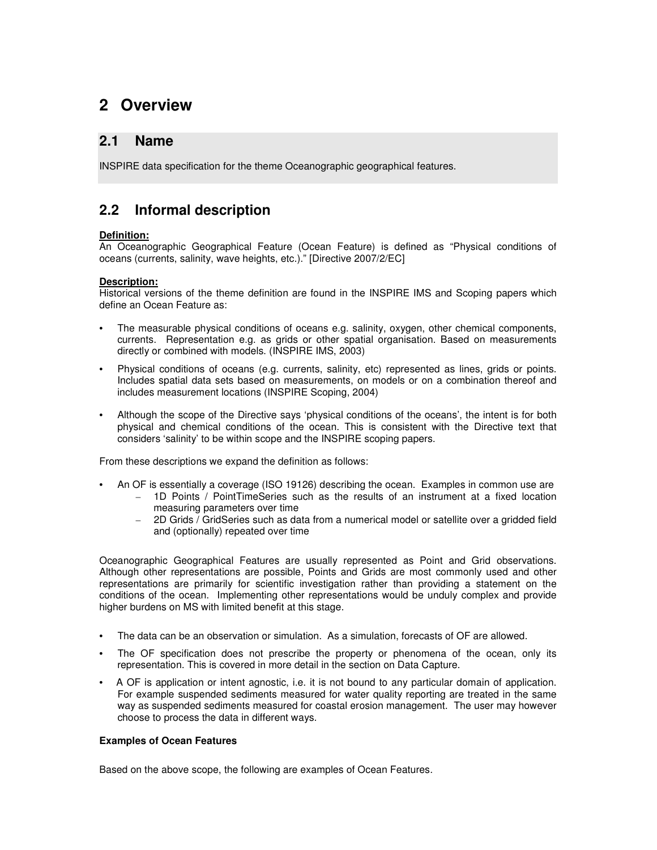# **2 Overview**

## **2.1 Name**

INSPIRE data specification for the theme Oceanographic geographical features.

## **2.2 Informal description**

### **Definition:**

An Oceanographic Geographical Feature (Ocean Feature) is defined as "Physical conditions of oceans (currents, salinity, wave heights, etc.)." [Directive 2007/2/EC]

### **Description:**

Historical versions of the theme definition are found in the INSPIRE IMS and Scoping papers which define an Ocean Feature as:

- The measurable physical conditions of oceans e.g. salinity, oxygen, other chemical components, currents. Representation e.g. as grids or other spatial organisation. Based on measurements directly or combined with models. (INSPIRE IMS, 2003)
- Physical conditions of oceans (e.g. currents, salinity, etc) represented as lines, grids or points. Includes spatial data sets based on measurements, on models or on a combination thereof and includes measurement locations (INSPIRE Scoping, 2004)
- Although the scope of the Directive says 'physical conditions of the oceans', the intent is for both physical and chemical conditions of the ocean. This is consistent with the Directive text that considers 'salinity' to be within scope and the INSPIRE scoping papers.

From these descriptions we expand the definition as follows:

- An OF is essentially a coverage (ISO 19126) describing the ocean. Examples in common use are – 1D Points / PointTimeSeries such as the results of an instrument at a fixed location
	- measuring parameters over time
	- $2D$  Grids  $\overline{\phantom{a}}$  GridSeries such as data from a numerical model or satellite over a gridded field and (optionally) repeated over time

Oceanographic Geographical Features are usually represented as Point and Grid observations. Although other representations are possible, Points and Grids are most commonly used and other representations are primarily for scientific investigation rather than providing a statement on the conditions of the ocean. Implementing other representations would be unduly complex and provide higher burdens on MS with limited benefit at this stage.

- The data can be an observation or simulation. As a simulation, forecasts of OF are allowed.
- The OF specification does not prescribe the property or phenomena of the ocean, only its representation. This is covered in more detail in the section on Data Capture.
- A OF is application or intent agnostic, i.e. it is not bound to any particular domain of application. For example suspended sediments measured for water quality reporting are treated in the same way as suspended sediments measured for coastal erosion management. The user may however choose to process the data in different ways.

### **Examples of Ocean Features**

Based on the above scope, the following are examples of Ocean Features.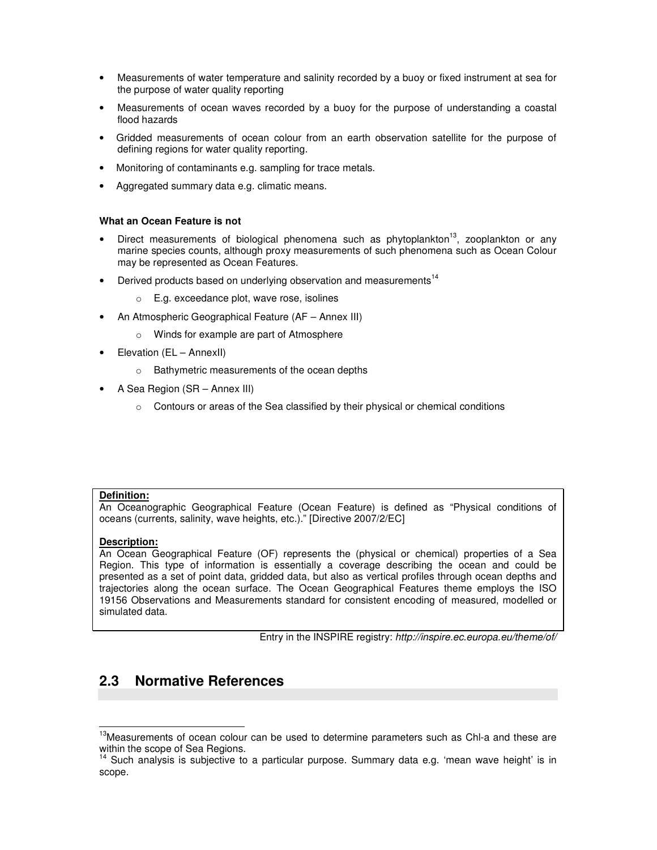- Measurements of water temperature and salinity recorded by a buoy or fixed instrument at sea for the purpose of water quality reporting
- Measurements of ocean waves recorded by a buoy for the purpose of understanding a coastal flood hazards
- Gridded measurements of ocean colour from an earth observation satellite for the purpose of defining regions for water quality reporting.
- Monitoring of contaminants e.g. sampling for trace metals.
- Aggregated summary data e.g. climatic means.

#### **What an Ocean Feature is not**

- Direct measurements of biological phenomena such as phytoplankton<sup>13</sup>, zooplankton or any marine species counts, although proxy measurements of such phenomena such as Ocean Colour may be represented as Ocean Features.
- Derived products based on underlying observation and measurements<sup>14</sup>
	- o E.g. exceedance plot, wave rose, isolines
- An Atmospheric Geographical Feature (AF Annex III)
	- o Winds for example are part of Atmosphere
- Elevation (EL AnnexII)
	- o Bathymetric measurements of the ocean depths
- A Sea Region (SR Annex III)
	- o Contours or areas of the Sea classified by their physical or chemical conditions

#### **Definition:**

An Oceanographic Geographical Feature (Ocean Feature) is defined as "Physical conditions of oceans (currents, salinity, wave heights, etc.)." [Directive 2007/2/EC]

#### **Description:**

An Ocean Geographical Feature (OF) represents the (physical or chemical) properties of a Sea Region. This type of information is essentially a coverage describing the ocean and could be presented as a set of point data, gridded data, but also as vertical profiles through ocean depths and trajectories along the ocean surface. The Ocean Geographical Features theme employs the ISO 19156 Observations and Measurements standard for consistent encoding of measured, modelled or simulated data.

Entry in the INSPIRE registry: http://inspire.ec.europa.eu/theme/of/

## **2.3 Normative References**

 $\overline{a}$ <sup>13</sup>Measurements of ocean colour can be used to determine parameters such as Chl-a and these are within the scope of Sea Regions.

<sup>&</sup>lt;sup>14</sup> Such analysis is subjective to a particular purpose. Summary data e.g. 'mean wave height' is in scope.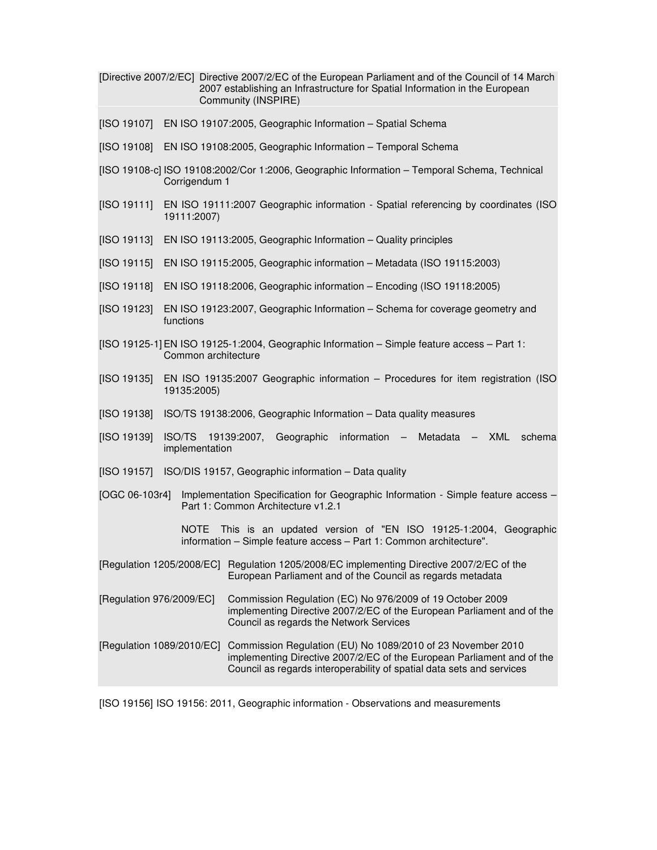|                                                                                                                                           |                                                                                                     | [Directive 2007/2/EC] Directive 2007/2/EC of the European Parliament and of the Council of 14 March<br>2007 establishing an Infrastructure for Spatial Information in the European<br>Community (INSPIRE)      |  |  |
|-------------------------------------------------------------------------------------------------------------------------------------------|-----------------------------------------------------------------------------------------------------|----------------------------------------------------------------------------------------------------------------------------------------------------------------------------------------------------------------|--|--|
| [ISO 19107]                                                                                                                               | EN ISO 19107:2005, Geographic Information - Spatial Schema                                          |                                                                                                                                                                                                                |  |  |
| [ISO 19108]                                                                                                                               | EN ISO 19108:2005, Geographic Information - Temporal Schema                                         |                                                                                                                                                                                                                |  |  |
| [ISO 19108-c] ISO 19108:2002/Cor 1:2006, Geographic Information - Temporal Schema, Technical<br>Corrigendum 1                             |                                                                                                     |                                                                                                                                                                                                                |  |  |
| [ISO 19111]                                                                                                                               | EN ISO 19111:2007 Geographic information - Spatial referencing by coordinates (ISO<br>19111:2007)   |                                                                                                                                                                                                                |  |  |
| [ISO 19113]                                                                                                                               | EN ISO 19113:2005, Geographic Information - Quality principles                                      |                                                                                                                                                                                                                |  |  |
| [ISO 19115]                                                                                                                               | EN ISO 19115:2005, Geographic information - Metadata (ISO 19115:2003)                               |                                                                                                                                                                                                                |  |  |
| [ISO 19118]                                                                                                                               | EN ISO 19118:2006, Geographic information - Encoding (ISO 19118:2005)                               |                                                                                                                                                                                                                |  |  |
| [ISO 19123]                                                                                                                               | EN ISO 19123:2007, Geographic Information - Schema for coverage geometry and<br>functions           |                                                                                                                                                                                                                |  |  |
| [ISO 19125-1] EN ISO 19125-1:2004, Geographic Information - Simple feature access - Part 1:<br>Common architecture                        |                                                                                                     |                                                                                                                                                                                                                |  |  |
| [ISO 19135]                                                                                                                               | EN ISO 19135:2007 Geographic information - Procedures for item registration (ISO<br>19135:2005)     |                                                                                                                                                                                                                |  |  |
| [ISO 19138]                                                                                                                               |                                                                                                     | ISO/TS 19138:2006, Geographic Information - Data quality measures                                                                                                                                              |  |  |
| [ISO 19139]                                                                                                                               | <b>ISO/TS</b><br>Geographic information - Metadata - XML<br>19139:2007,<br>schema<br>implementation |                                                                                                                                                                                                                |  |  |
| [ISO 19157]<br>ISO/DIS 19157, Geographic information - Data quality                                                                       |                                                                                                     |                                                                                                                                                                                                                |  |  |
| [OGC 06-103r4]<br>Implementation Specification for Geographic Information - Simple feature access -<br>Part 1: Common Architecture v1.2.1 |                                                                                                     |                                                                                                                                                                                                                |  |  |
|                                                                                                                                           | NOTE                                                                                                | This is an updated version of "EN ISO 19125-1:2004, Geographic<br>information - Simple feature access - Part 1: Common architecture".                                                                          |  |  |
| [Regulation 1205/2008/EC]                                                                                                                 |                                                                                                     | Regulation 1205/2008/EC implementing Directive 2007/2/EC of the<br>European Parliament and of the Council as regards metadata                                                                                  |  |  |
| [Regulation 976/2009/EC]                                                                                                                  |                                                                                                     | Commission Regulation (EC) No 976/2009 of 19 October 2009<br>implementing Directive 2007/2/EC of the European Parliament and of the<br>Council as regards the Network Services                                 |  |  |
| [Regulation 1089/2010/EC]                                                                                                                 |                                                                                                     | Commission Regulation (EU) No 1089/2010 of 23 November 2010<br>implementing Directive 2007/2/EC of the European Parliament and of the<br>Council as regards interoperability of spatial data sets and services |  |  |

[ISO 19156] ISO 19156: 2011, Geographic information - Observations and measurements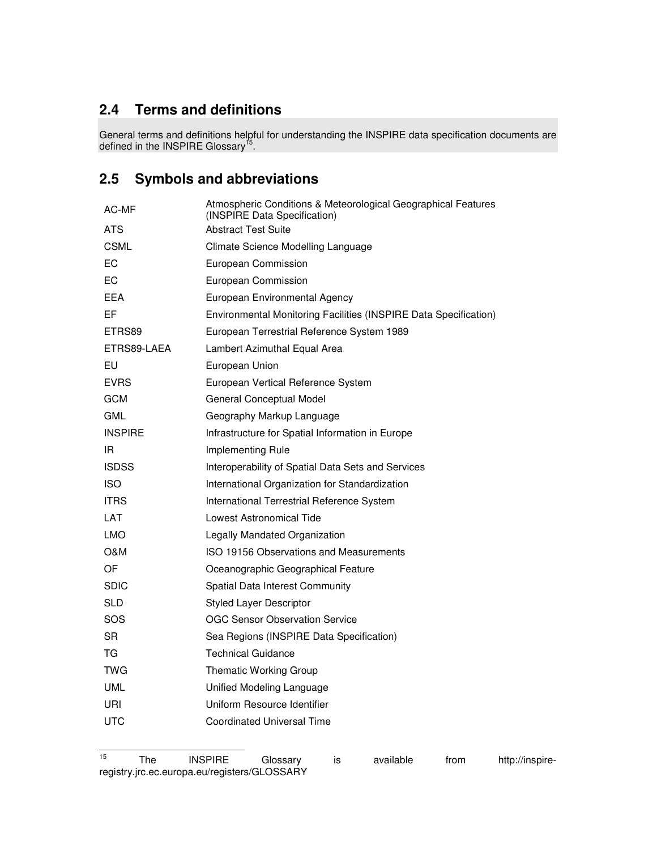# **2.4 Terms and definitions**

General terms and definitions helpful for understanding the INSPIRE data specification documents are defined in the INSPIRE Glossary<sup>15</sup>.

# **2.5 Symbols and abbreviations**

| AC-MF          | Atmospheric Conditions & Meteorological Geographical Features<br>(INSPIRE Data Specification) |
|----------------|-----------------------------------------------------------------------------------------------|
| ATS            | <b>Abstract Test Suite</b>                                                                    |
| CSML           | Climate Science Modelling Language                                                            |
| ЕC             | European Commission                                                                           |
| ЕC             | European Commission                                                                           |
| EEA            | European Environmental Agency                                                                 |
| EF             | Environmental Monitoring Facilities (INSPIRE Data Specification)                              |
| ETRS89         | European Terrestrial Reference System 1989                                                    |
| ETRS89-LAEA    | Lambert Azimuthal Equal Area                                                                  |
| EU             | European Union                                                                                |
| <b>EVRS</b>    | European Vertical Reference System                                                            |
| GCM            | General Conceptual Model                                                                      |
| GML            | Geography Markup Language                                                                     |
| <b>INSPIRE</b> | Infrastructure for Spatial Information in Europe                                              |
| IR.            | Implementing Rule                                                                             |
| <b>ISDSS</b>   | Interoperability of Spatial Data Sets and Services                                            |
| <b>ISO</b>     | International Organization for Standardization                                                |
| <b>ITRS</b>    | International Terrestrial Reference System                                                    |
| LAT            | Lowest Astronomical Tide                                                                      |
| LMO            | Legally Mandated Organization                                                                 |
| O&M            | ISO 19156 Observations and Measurements                                                       |
| OF             | Oceanographic Geographical Feature                                                            |
| SDIC           | Spatial Data Interest Community                                                               |
| SLD            | <b>Styled Layer Descriptor</b>                                                                |
| SOS            | <b>OGC Sensor Observation Service</b>                                                         |
| SR             | Sea Regions (INSPIRE Data Specification)                                                      |
| ТG             | Technical Guidance                                                                            |
| TWG            | <b>Thematic Working Group</b>                                                                 |
| UML            | Unified Modeling Language                                                                     |
| URI            | Uniform Resource Identifier                                                                   |
| UTC            | <b>Coordinated Universal Time</b>                                                             |
|                |                                                                                               |

 $15\,$ The INSPIRE Glossary is available from http://inspireregistry.jrc.ec.europa.eu/registers/GLOSSARY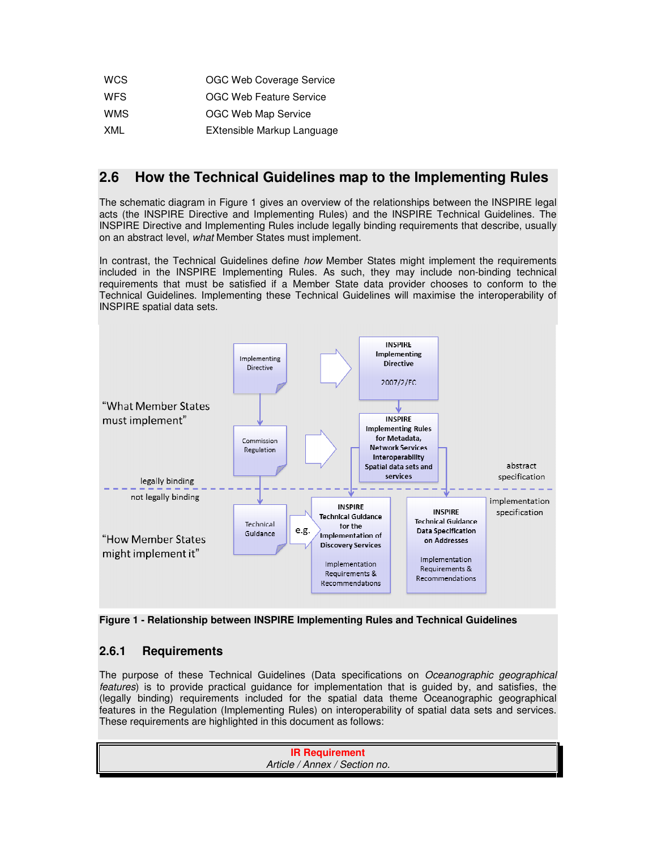| <b>WCS</b> | OGC Web Coverage Service       |
|------------|--------------------------------|
| <b>WFS</b> | <b>OGC Web Feature Service</b> |
| <b>WMS</b> | OGC Web Map Service            |
| XML        | EXtensible Markup Language     |

## **2.6 How the Technical Guidelines map to the Implementing Rules**

The schematic diagram in Figure 1 gives an overview of the relationships between the INSPIRE legal acts (the INSPIRE Directive and Implementing Rules) and the INSPIRE Technical Guidelines. The INSPIRE Directive and Implementing Rules include legally binding requirements that describe, usually on an abstract level, what Member States must implement.

In contrast, the Technical Guidelines define how Member States might implement the requirements included in the INSPIRE Implementing Rules. As such, they may include non-binding technical requirements that must be satisfied if a Member State data provider chooses to conform to the Technical Guidelines. Implementing these Technical Guidelines will maximise the interoperability of INSPIRE spatial data sets.





## **2.6.1 Requirements**

The purpose of these Technical Guidelines (Data specifications on Oceanographic geographical features) is to provide practical guidance for implementation that is guided by, and satisfies, the (legally binding) requirements included for the spatial data theme Oceanographic geographical features in the Regulation (Implementing Rules) on interoperability of spatial data sets and services. These requirements are highlighted in this document as follows: